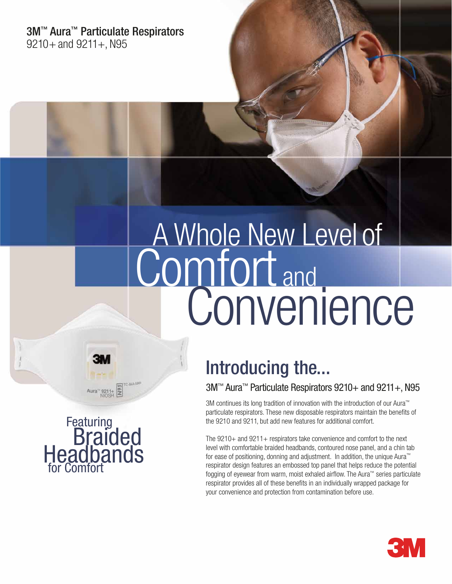3M™ Aura™ Particulate Respirators  $9210 +$  and  $9211 +$ , N95

# Comfort and A Whole New Level of **Convenience**

# Introducing the...

3M<sup>™</sup> Aura<sup>™</sup> Particulate Respirators 9210+ and 9211+, N95

3M continues its long tradition of innovation with the introduction of our Aura™ particulate respirators. These new disposable respirators maintain the benefits of the 9210 and 9211, but add new features for additional comfort.

The 9210+ and 9211+ respirators take convenience and comfort to the next level with comfortable braided headbands, contoured nose panel, and a chin tab for ease of positioning, donning and adjustment. In addition, the unique Aura™ respirator design features an embossed top panel that helps reduce the potential fogging of eyewear from warm, moist exhaled airflow. The Aura™ series particulate respirator provides all of these benefits in an individually wrapped package for your convenience and protection from contamination before use.



Aura<sup>-9211+</sup>